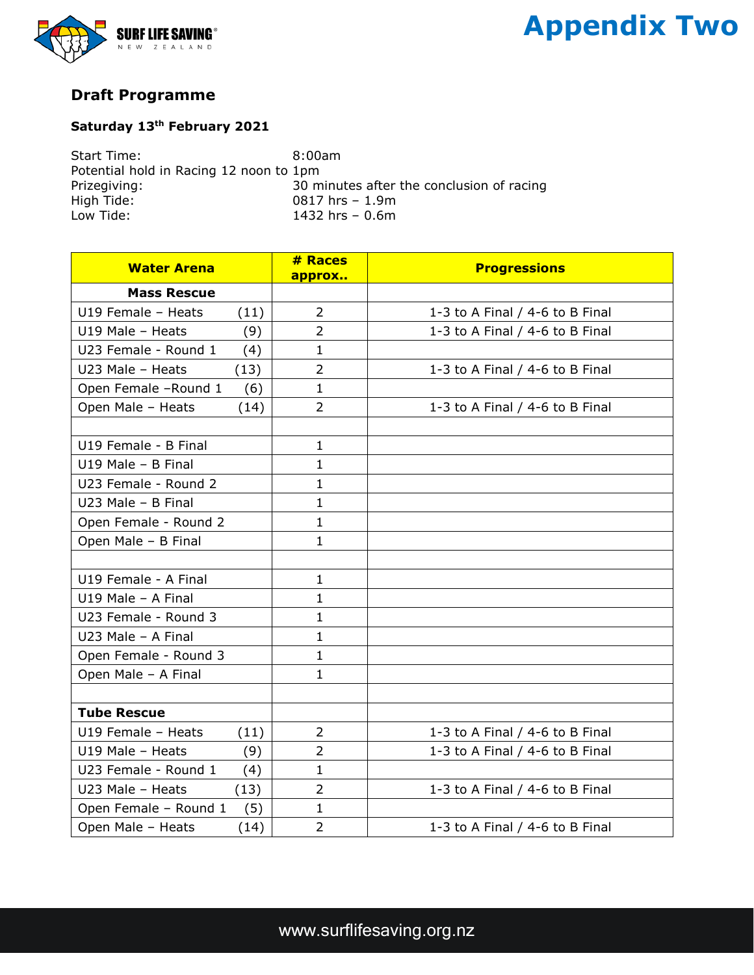

## **Appendix Two**

## **Draft Programme**

## **Saturday 13th February 2021**

Start Time: 8:00am Potential hold in Racing 12 noon to 1pm Prizegiving:  $\frac{30}{30}$  minutes after the conclusion of racing<br>High Tide:  $\frac{30}{15}$  hrs - 1.9m High Tide: 0817 hrs – 1.9m Low Tide: 1432 hrs – 0.6m

| <b>Water Arena</b>    |      | # Races<br>approx | <b>Progressions</b>               |
|-----------------------|------|-------------------|-----------------------------------|
| <b>Mass Rescue</b>    |      |                   |                                   |
| U19 Female - Heats    | (11) | 2                 | 1-3 to A Final / 4-6 to B Final   |
| U19 Male - Heats      | (9)  | $\overline{2}$    | 1-3 to A Final / 4-6 to B Final   |
| U23 Female - Round 1  | (4)  | $\mathbf{1}$      |                                   |
| U23 Male - Heats      | (13) | $\overline{2}$    | 1-3 to A Final $/$ 4-6 to B Final |
| Open Female -Round 1  | (6)  | $\mathbf{1}$      |                                   |
| Open Male - Heats     | (14) | $\overline{2}$    | 1-3 to A Final / 4-6 to B Final   |
|                       |      |                   |                                   |
| U19 Female - B Final  |      | $\mathbf{1}$      |                                   |
| U19 Male - B Final    |      | $\mathbf{1}$      |                                   |
| U23 Female - Round 2  |      | $\mathbf{1}$      |                                   |
| U23 Male - B Final    |      | $\mathbf{1}$      |                                   |
| Open Female - Round 2 |      | $\mathbf{1}$      |                                   |
| Open Male - B Final   |      | $\mathbf{1}$      |                                   |
|                       |      |                   |                                   |
| U19 Female - A Final  |      | $\mathbf{1}$      |                                   |
| U19 Male - A Final    |      | $\mathbf{1}$      |                                   |
| U23 Female - Round 3  |      | $\mathbf{1}$      |                                   |
| U23 Male - A Final    |      | $\mathbf{1}$      |                                   |
| Open Female - Round 3 |      | $\mathbf{1}$      |                                   |
| Open Male - A Final   |      | $\mathbf{1}$      |                                   |
|                       |      |                   |                                   |
| <b>Tube Rescue</b>    |      |                   |                                   |
| U19 Female - Heats    | (11) | $\overline{2}$    | 1-3 to A Final $/$ 4-6 to B Final |
| U19 Male - Heats      | (9)  | $\overline{2}$    | 1-3 to A Final / 4-6 to B Final   |
| U23 Female - Round 1  | (4)  | $\mathbf{1}$      |                                   |
| U23 Male - Heats      | (13) | $\overline{2}$    | 1-3 to A Final / 4-6 to B Final   |
| Open Female - Round 1 | (5)  | $\mathbf{1}$      |                                   |
| Open Male - Heats     | (14) | $\overline{2}$    | 1-3 to A Final / 4-6 to B Final   |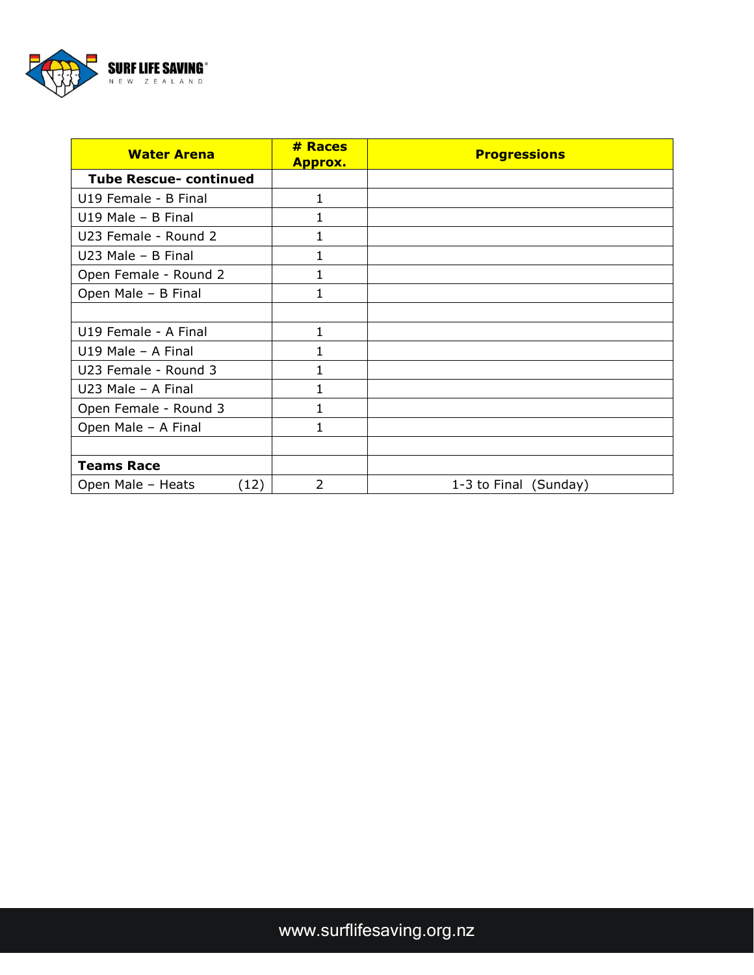

| <b>Water Arena</b>            | # Races<br><b>Approx.</b> | <b>Progressions</b>   |
|-------------------------------|---------------------------|-----------------------|
| <b>Tube Rescue- continued</b> |                           |                       |
| U19 Female - B Final          | $\mathbf{1}$              |                       |
| $U19$ Male - B Final          | 1                         |                       |
| U23 Female - Round 2          | 1                         |                       |
| $U23$ Male - B Final          | $\mathbf{1}$              |                       |
| Open Female - Round 2         | $\mathbf{1}$              |                       |
| Open Male - B Final           | 1                         |                       |
|                               |                           |                       |
| U19 Female - A Final          | 1                         |                       |
| $U19$ Male - A Final          | 1                         |                       |
| U23 Female - Round 3          | 1                         |                       |
| $U23$ Male - A Final          | 1                         |                       |
| Open Female - Round 3         | $\mathbf{1}$              |                       |
| Open Male - A Final           | $\mathbf{1}$              |                       |
|                               |                           |                       |
| <b>Teams Race</b>             |                           |                       |
| Open Male - Heats<br>(12)     | $\overline{2}$            | 1-3 to Final (Sunday) |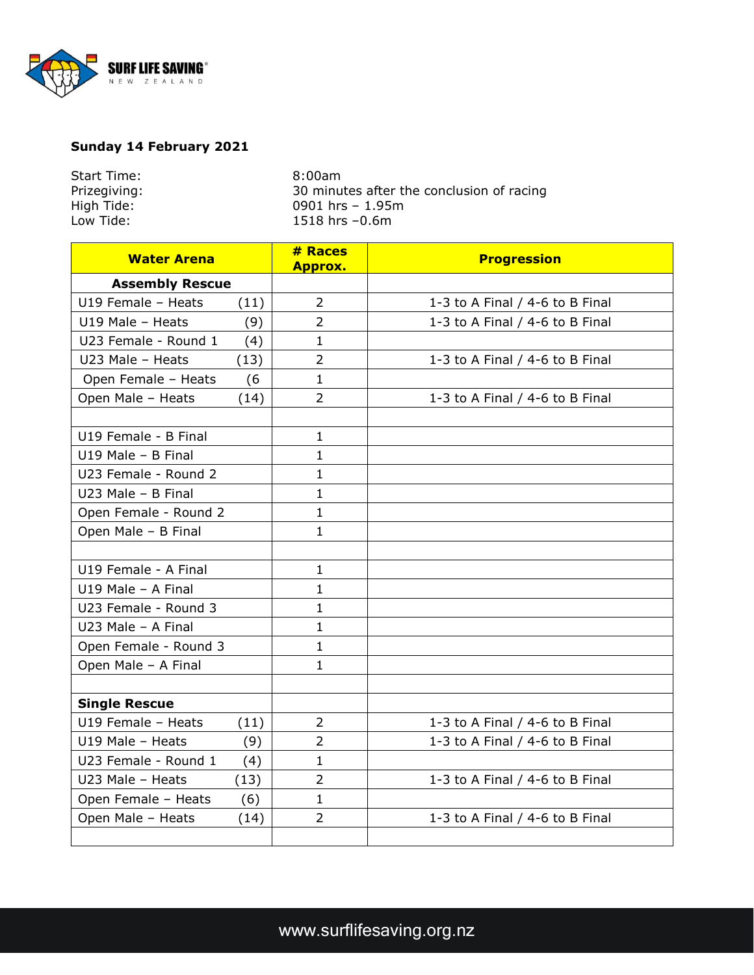

## **Sunday 14 February 2021**

| Start Time:  | $8:00$ am                                 |
|--------------|-------------------------------------------|
| Prizegiving: | 30 minutes after the conclusion of racing |
| High Tide:   | 0901 hrs $-1.95m$                         |
| Low Tide:    | 1518 hrs $-0.6m$                          |
|              |                                           |

| <b>Water Arena</b>     |      | # Races<br><b>Approx.</b> | <b>Progression</b>              |
|------------------------|------|---------------------------|---------------------------------|
| <b>Assembly Rescue</b> |      |                           |                                 |
| U19 Female - Heats     | (11) | $\overline{2}$            | 1-3 to A Final / 4-6 to B Final |
| U19 Male - Heats       | (9)  | $\overline{2}$            | 1-3 to A Final / 4-6 to B Final |
| U23 Female - Round 1   | (4)  | $\mathbf{1}$              |                                 |
| U23 Male - Heats       | (13) | $\overline{2}$            | 1-3 to A Final / 4-6 to B Final |
| Open Female - Heats    | (6)  | $\mathbf{1}$              |                                 |
| Open Male - Heats      | (14) | $\overline{2}$            | 1-3 to A Final / 4-6 to B Final |
|                        |      |                           |                                 |
| U19 Female - B Final   |      | $\mathbf{1}$              |                                 |
| U19 Male - B Final     |      | $\mathbf{1}$              |                                 |
| U23 Female - Round 2   |      | $\mathbf{1}$              |                                 |
| U23 Male - B Final     |      | $\mathbf{1}$              |                                 |
| Open Female - Round 2  |      | $\mathbf{1}$              |                                 |
| Open Male - B Final    |      | $\mathbf{1}$              |                                 |
|                        |      |                           |                                 |
| U19 Female - A Final   |      | $\mathbf{1}$              |                                 |
| U19 Male - A Final     |      | $\mathbf{1}$              |                                 |
| U23 Female - Round 3   |      | $\mathbf{1}$              |                                 |
| U23 Male - A Final     |      | $\mathbf{1}$              |                                 |
| Open Female - Round 3  |      | $\mathbf{1}$              |                                 |
| Open Male - A Final    |      | $\mathbf{1}$              |                                 |
|                        |      |                           |                                 |
| <b>Single Rescue</b>   |      |                           |                                 |
| U19 Female - Heats     | (11) | $\overline{2}$            | 1-3 to A Final / 4-6 to B Final |
| U19 Male - Heats       | (9)  | $\overline{2}$            | 1-3 to A Final / 4-6 to B Final |
| U23 Female - Round 1   | (4)  | $\mathbf{1}$              |                                 |
| U23 Male - Heats       | (13) | $\overline{2}$            | 1-3 to A Final / 4-6 to B Final |
| Open Female - Heats    | (6)  | $\mathbf{1}$              |                                 |
| Open Male - Heats      | (14) | $\overline{2}$            | 1-3 to A Final / 4-6 to B Final |
|                        |      |                           |                                 |